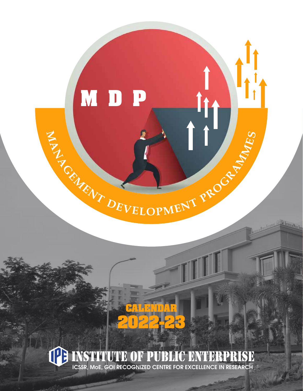

## **CALENDAR 2022-23**

# ICSSR, MOE, GOI RECOGNIZED CENTRE FOR EXCELLENCE IN RESEARCH RISE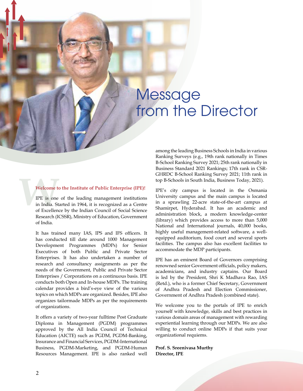## Message from the Director

#### **Welcome to the Institute of Public Enterprise (IPE)!**

**Welcome to Excellent**<br>IPE is one<br>in India. St<br>of Excellen IPE is one of the leading management institutions in India. Started in 1964, it is recognized as a Centre of Excellence by the Indian Council of Social Science Research (ICSSR), Ministry of Education, Government of India.

> It has trained many IAS, IPS and IFS officers. It has conducted till date around 1000 Management Development Programmes (MDPs) for Senior Executives of both Public and Private Sector Enterprises. It has also undertaken a number of research and consultancy assignments as per the needs of the Government, Public and Private Sector Enterprises / Corporations on a continuous basis. IPE conducts both Open and In-house MDPs. The training calendar provides a bird's-eye view of the various topics on which MDPs are organized. Besides, IPE also organizes tailormade MDPs as per the requirements of organizations.

> It offers a variety of two-year fulltime Post Graduate Diploma in Management (PGDM) programmes approved by the All India Council of Technical Education (AICTE) such as PGDM, PGDM-Banking, Insurance and Financial Services, PGDM-International Business, PGDM-Marketing, and PGDM-Human Resources Management. IPE is also ranked well

among the leading Business Schools in India in various Ranking Surveys (e.g., 19th rank nationally in Times B-School Ranking Survey 2021; 25th rank nationally in Business Standard 2021 Rankings; 17th rank in CSR-GHRDC B-School Ranking Survey 2021; 11th rank in top B-Schools in South India, Business Today, 2021).

IPE's city campus is located in the Osmania University campus and the main campus is located in a sprawling 22-acre state-of-the-art campus at Shamirpet, Hyderabad. It has an academic and administration block, a modern knowledge-center (library) which provides access to more than 5,000 National and International journals, 40,000 books, highly useful management-related software, a wellequipped auditorium, food court and several sports facilities. The campus also has excellent facilities to accommodate the MDP participants.

IPE has an eminent Board of Governors comprising renowned senior Government officials, policy makers, academicians, and industry captains. Our Board is led by the President, Shri K Madhava Rao, IAS (Retd.), who is a former Chief Secretary, Government of Andhra Pradesh and Election Commissioner, Government of Andhra Pradesh (combined state).

We welcome you to the portals of IPE to enrich yourself with knowledge, skills and best practices in various domain areas of management with rewarding experiential learning through our MDPs. We are also willing to conduct online MDPs if that suits your organizational requiems.

**Prof. S. Sreenivasa Murthy Director, IPE**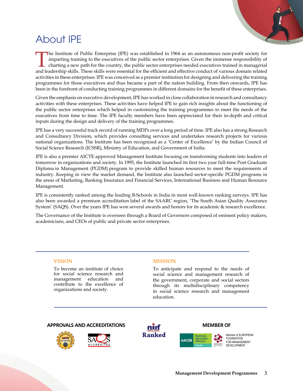

## About IPE

The Institute of Public Enterprise (IPE) was established in 1964 as an autonomous non-profit society for imparting training to the executives of the public sector enterprises. Given the immense responsibility of charting a new path for the country, the public sector enterprises needed executives trained in managerial and leadership skills. These skills were essential for the efficient and effective conduct of various domain related activities in these enterprises. IPE was conceived as a premier institution for designing and delivering the training programmes for those executives and thus became a part of the nation building. From then onwards, IPE has been in the forefront of conducting training programmes in different domains for the benefit of these enterprises.

Given the emphasis on executive development, IPE has worked in close collaboration in research and consultancy activities with these enterprises. These activities have helped IPE to gain rich insights about the functioning of the public sector enterprises which helped in customizing the training programmes to meet the needs of the executives from time to time. The IPE faculty members have been appreciated for their in-depth and critical inputs during the design and delivery of the training programmes.

IPE has a very successful track record of running MDPs over a long period of time. IPE also has a strong Research and Consultancy Division, which provides consulting services and undertakes research projects for various national organizations. The Institute has been recognized as a 'Center of Excellence' by the Indian Council of Social Science Research (ICSSR), Ministry of Education, and Government of India.

IPE is also a premier AICTE approved Management Institute focusing on transforming students into leaders of tomorrow in organizations and society. In 1995, the Institute launched its first two year full-time Post Graduate Diploma in Management (PGDM) program to provide skilled human resources to meet the requirements of industry. Keeping in view the market demand, the Institute also launched sector-specific PGDM programs in the areas of Marketing, Banking Insurance and Financial Services, International Business and Human Resource Management.

IPE is consistently ranked among the leading B-Schools in India in most well-known ranking surveys. IPE has also been awarded a premium accreditation label of the SAARC region, 'The South Asian Quality Assurance System' (SAQS). Over the years IPE has won several awards and honors for its academic & research excellence.

The Governance of the Institute is overseen through a Board of Governors composed of eminent policy makers, academicians, and CEOs of public and private sector enterprises.

#### **VISION**

To become an institute of choice for social science research and management education and contribute to the excellence of organizations and society.

#### **MISSION**

To anticipate and respond to the needs of social science and management research of the government, corporate and social sectors through its multidisciplinary competency in social science research and management education.

AACSE

#### **APPROVALS AND ACCREDITATIONS MEMBER OF**







lember of EUROPEAN FOUNDATION FOR MANAGEMENT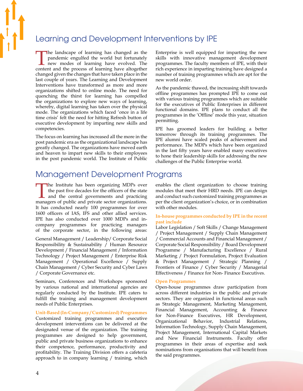### Learning and Development Interventions by IPE

The landscape of learning has changed as the pandemic engulfed the world but fortunately **L** new modes of learning have evolved. The content and the process of learning have altogether changed given the changes that have taken place in the last couple of years. The Learning and Development Interventions have transformed as more and more organizations shifted to online mode. The need for quenching the thirst for learning has compelled the organizations to explore new ways of learning, whereby, digital learning has taken over the physical mode. The organizations which faced 'once in a life time crisis' felt the need for hitting Refresh button of executive development by imparting new skills and competencies.

The focus on learning has increased all the more in the post pandemic era as the organizational landscape has greatly changed. The organizations have moved earth and heaven to impart new skills to their employees in the post pandemic world. The Institute of Public Enterprise is well equipped for imparting the new skills with innovative management development programmes. The faculty members of IPE, with their rich experience in imparting training have designed a number of training programmes which are apt for the new world order.

As the pandemic thawed, the increasing shift towards offline programmes has prompted IPE to come out with various training programmes which are suitable for the executives of Public Enterprises in different functional domains. IPE plans to conduct all the programmes in the 'Offline' mode this year, situation permitting.

IPE has groomed leaders for building a better tomorrow through its training programmes. The IPE alumni have scaled peaks of achievement and performance. The MDPs which have been organized in the last fifty years have enabled many executives to hone their leadership skills for addressing the new challenges of the Public Enterprise world.

### Management Development Programs

The Institute has been organizing MDPs over the past five decades for the officers of the state **L** and the central governments and practicing managers of public and private sector organizations. It has conducted nearly 100 programmes for over 1600 officers of IAS, IFS and other allied services. IPE has also conducted over 1000 MDPs and incompany programmes for practicing managers of the corporate sector, in the following areas:

General Management / Leadership/ Corporate Social Responsibility & Sustainability / Human Resource Development / Financial Management / Information Technology / Project Management / Enterprise Risk Management / Operational Excellence / Supply Chain Management / Cyber Security and Cyber Laws / Corporate Governance etc.

Seminars, Conferences and Workshops sponsored by various national and international agencies are regularly conducted by the Institute. IPE caters to fulfill the training and management development needs of Public Enterprises.

#### **Unit-Based (In-Company / Customized) Programmes**

Customized training programmes and executive development interventions can be delivered at the designated venue of the organization. The training programmes are designed to help government, public and private business organizations to enhance their competence, performance, productivity and profitability. The Training Division offers a cafeteria approach to in company learning / training, which enables the client organization to choose training modules that meet their HRD needs. IPE can design and conduct such customized training programmes as per the client organization's choice, or in combination with other modules.

#### **In-house programmes conducted by IPE in the recent past include**

Labor Legislation / Soft Skills / Change Management / Project Management / Supply Chain Management / Commercial Accounts and Financial Management / Corporate Social Responsibility / Board Development Programme / Manufacturing Excellence / Rural Marketing / Project Formulation, Project Evaluation & Project Management / Strategic Planning / Frontiers of Finance / Cyber Security / Managerial Effectiveness / Finance for Non- Finance Executives.

#### **Open Programmes**

Open-house programmes draw participation from across different industries in the public and private sectors. They are organized in functional areas such as Strategic Management, Marketing Management, Financial Management, Accounting & Finance for Non-Finance Executives, HR Development, Organizational Behavior, Industrial Relations, Information Technology, Supply Chain Management, Project Management, International Capital Markets and New Financial Instruments. Faculty offer programmes in their areas of expertise and seek nominations from organisations that will benefit from the said programmes.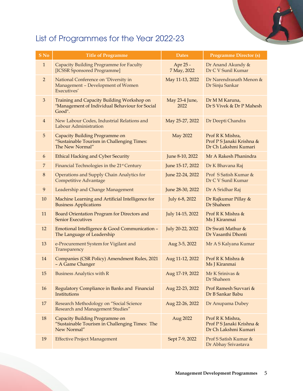## List of Programmes for the Year 2022-23

| S No             | <b>Title of Programme</b>                                                                              | <b>Dates</b>            | <b>Programme Director (s)</b>                                         |
|------------------|--------------------------------------------------------------------------------------------------------|-------------------------|-----------------------------------------------------------------------|
| $\mathbf{1}$     | <b>Capacity Building Programme for Faculty</b><br>[ICSSR Sponsored Programme]                          | Apr 25 -<br>7 May, 2022 | Dr Anand Akundy &<br>Dr C V Sunil Kumar                               |
| $\overline{2}$   | National Conference on 'Diversity in<br>Management - Development of Women<br>Executives'               | May 11-13, 2022         | Dr Narendranath Menon &<br>Dr Sinju Sankar                            |
| 3                | Training and Capacity Building Workshop on<br>"Management of Individual Behaviour for Social<br>Good". | May 23-4 June,<br>2022  | Dr M M Karuna,<br>Dr S Vivek & Dr P Mahesh                            |
| $\overline{4}$   | New Labour Codes, Industrial Relations and<br>Labour Administration                                    | May 25-27, 2022         | Dr Deepti Chandra                                                     |
| 5                | Capacity Building Programme on<br>"Sustainable Tourism in Challenging Times:<br>The New Normal"        | <b>May 2022</b>         | Prof R K Mishra,<br>Prof P S Janaki Krishna &<br>Dr Ch Lakshmi Kumari |
| 6                | <b>Ethical Hacking and Cyber Security</b>                                                              | June 8-10, 2022         | Mr A Rakesh Phanindra                                                 |
| $\overline{7}$   | Financial Technologies in the 21 <sup>st</sup> Century                                                 | June 15-17, 2022        | Dr K Bhavana Raj                                                      |
| $\,8\,$          | Operations and Supply Chain Analytics for<br><b>Competitive Advantage</b>                              | June 22-24, 2022        | Prof S Satish Kumar &<br>Dr C V Sunil Kumar                           |
| $\boldsymbol{9}$ | Leadership and Change Management                                                                       | June 28-30, 2022        | Dr A Sridhar Raj                                                      |
| 10               | Machine Learning and Artificial Intelligence for<br><b>Business Applications</b>                       | July 6-8, 2022          | Dr Rajkumar Pillay &<br>Dr Shaheen                                    |
| 11               | Board Orientation Program for Directors and<br><b>Senior Executives</b>                                | July 14-15, 2022        | Prof R K Mishra &<br>Ms J Kiranmai                                    |
| 12               | Emotional Intelligence & Good Communication -<br>The Language of Leadership                            | July 20-22, 2022        | Dr Swati Mathur &<br>Dr Vasanthi Dhonti                               |
| 13               | e-Procurement System for Vigilant and<br>Transparency                                                  | Aug 3-5, 2022           | Mr A S Kalyana Kumar                                                  |
| 14               | Companies (CSR Policy) Amendment Rules, 2021<br>- A Game Changer                                       | Aug 11-12, 2022         | Prof R K Mishra &<br>Ms J Kiranmai                                    |
| 15               | <b>Business Analytics with R</b>                                                                       |                         | Aug 17-19, 2022 Mr K Srinivas &<br>Dr Shaheen                         |
| 16               | Regulatory Compliance in Banks and Financial<br>Institutions                                           | Aug 22-23, 2022         | Prof Ramesh Suvvari &<br>Dr B Sankar Babu                             |
| 17               | Research Methodology on "Social Science<br>Research and Management Studies"                            | Aug 22-26, 2022         | Dr Anupama Dubey                                                      |
| 18               | Capacity Building Programme on<br>"Sustainable Tourism in Challenging Times: The<br>New Normal"        | Aug 2022                | Prof R K Mishra,<br>Prof P S Janaki Krishna &<br>Dr Ch Lakshmi Kumari |
| 19               | <b>Effective Project Management</b>                                                                    | Sept 7-9, 2022          | Prof S Satish Kumar &<br>Dr Abhay Srivastava                          |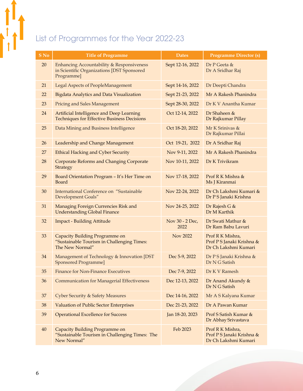## List of Programmes for the Year 2022-23

| S No | <b>Title of Programme</b>                                                                             | <b>Dates</b>            | <b>Programme Director (s)</b>                                         |
|------|-------------------------------------------------------------------------------------------------------|-------------------------|-----------------------------------------------------------------------|
| 20   | Enhancing Accountability & Responsiveness<br>in Scientific Organizations [DST Sponsored<br>Programme] | Sept 12-16, 2022        | Dr P Geeta $\&$<br>Dr A Sridhar Raj                                   |
| 21   | <b>Legal Aspects of PeopleManagement</b>                                                              | Sept 14-16, 2022        | Dr Deepti Chandra                                                     |
| 22   | Bigdata Analytics and Data Visualization                                                              | Sept 21-23, 2022        | Mr A Rakesh Phanindra                                                 |
| 23   | <b>Pricing and Sales Management</b>                                                                   | Sept 28-30, 2022        | Dr K V Anantha Kumar                                                  |
| 24   | Artificial Intelligence and Deep Learning<br><b>Techniques for Effective Business Decisions</b>       | Oct 12-14, 2022         | Dr Shaheen &<br>Dr Rajkumar Pillay                                    |
| 25   | Data Mining and Business Intelligence                                                                 | Oct 18-20, 2022         | Mr K Srinivas &<br>Dr Rajkumar Pillai                                 |
| 26   | Leadership and Change Management                                                                      | Oct 19-21, 2022         | Dr A Sridhar Raj                                                      |
| 27   | <b>Ethical Hacking and Cyber Security</b>                                                             | Nov 9-11, 2022          | Mr A Rakesh Phanindra                                                 |
| 28   | Corporate Reforms and Changing Corporate<br><b>Strategy</b>                                           | Nov 10-11, 2022         | Dr K Trivikram                                                        |
| 29   | Board Orientation Program - It's Her Time on<br>Board                                                 | Nov 17-18, 2022         | Prof R K Mishra &<br>Ms J Kiranmai                                    |
| 30   | <b>International Conference on "Sustainable</b><br>Development Goals"                                 | Nov 22-24, 2022         | Dr Ch Lakshmi Kumari &<br>Dr PS Janaki Krishna                        |
| 31   | Managing Foreign Currencies Risk and<br><b>Understanding Global Finance</b>                           | Nov 24-25, 2022         | Dr Rajesh G &<br>Dr M Karthik                                         |
| 32   | <b>Impact - Building Attitude</b>                                                                     | Nov 30 - 2 Dec,<br>2022 | Dr Swati Mathur &<br>Dr Ram Babu Lavuri                               |
| 33   | Capacity Building Programme on<br>"Sustainable Tourism in Challenging Times:<br>The New Normal"       | Nov 2022                | Prof R K Mishra,<br>Prof P S Janaki Krishna &<br>Dr Ch Lakshmi Kumari |
| 34   | Management of Technology & Innovation [DST<br><b>Sponsored Programme]</b>                             | Dec 5-9, 2022           | Dr P S Janaki Krishna &<br>Dr N G Satish                              |
| 35   | <b>Finance for Non-Finance Executives</b>                                                             | Dec 7-9, 2022           | Dr K V Ramesh                                                         |
| 36   | <b>Communication for Managerial Effectiveness</b>                                                     | Dec 12-13, 2022         | Dr Anand Akundy &<br>Dr N G Satish                                    |
| 37   | <b>Cyber Security &amp; Safety Measures</b>                                                           | Dec 14-16, 2022         | Mr A S Kalyana Kumar                                                  |
| 38   | <b>Valuation of Public Sector Enterprises</b>                                                         | Dec 21-23, 2022         | Dr A Pawan Kumar                                                      |
| 39   | <b>Operational Excellence for Success</b>                                                             | Jan 18-20, 2023         | Prof S Satish Kumar &<br>Dr Abhay Srivastava                          |
| 40   | Capacity Building Programme on<br>"Sustainable Tourism in Challenging Times: The<br>New Normal"       | Feb 2023                | Prof R K Mishra,<br>Prof PS Janaki Krishna &<br>Dr Ch Lakshmi Kumari  |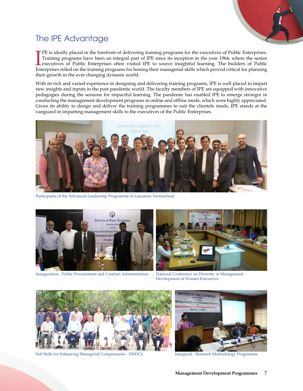

## The IPE Advantage

The is ideally placed in the forefront of delivering training programs for the executives of Public Enterprises.<br>Training programs have been an integral part of IPE since its inception in the year 1964, where the senior<br>ex PE is ideally placed in the forefront of delivering training programs for the executives of Public Enterprises. Training programs have been an integral part of IPE since its inception in the year 1964, where the senior Enterprises relied on the training programs for honing their managerial skills which proved critical for planning their growth in the ever changing dynamic world.

With its rich and varied experience in designing and delivering training programs, IPE is well placed to impart new insights and inputs in the post pandemic world. The faculty members of IPE are equipped with innovative pedagogies during the sessions for impactful learning. The pandemic has enabled IPE to emerge stronger in conducting the management development programs in online and offline mode, which were highly appreciated. Given its ability to design and deliver the training programmes to suit the clientele needs, IPE stands at the vanguard in imparting management skills to the executives of the Public Enterprises.



Participants of the Advanced Leadership Programme in Lausanne, Switzerland



Inauguration - Public Procurement and Contract Administration

National Conference on Diversity in Management - Development of Women Executives



Soft Skills for Enhancing Managerial Competencies - TSSDCL Inaugural - Research Methodology Programme